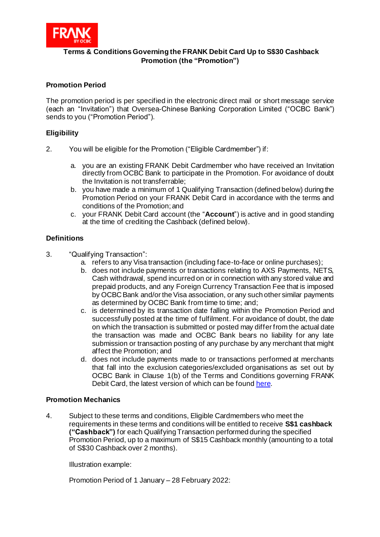

# **Terms & Conditions Governing the FRANK Debit Card Up to S\$30 Cashback Promotion (the "Promotion")**

# **Promotion Period**

The promotion period is per specified in the electronic direct mail or short message service (each an "Invitation") that Oversea-Chinese Banking Corporation Limited ("OCBC Bank") sends to you ("Promotion Period").

### **Eligibility**

- 2. You will be eligible for the Promotion ("Eligible Cardmember") if:
	- a. you are an existing FRANK Debit Cardmember who have received an Invitation directly from OCBC Bank to participate in the Promotion. For avoidance of doubt the Invitation is not transferrable;
	- b. you have made a minimum of 1 Qualifying Transaction (defined below) during the Promotion Period on your FRANK Debit Card in accordance with the terms and conditions of the Promotion; and
	- c. your FRANK Debit Card account (the "**Account**") is active and in good standing at the time of crediting the Cashback (defined below).

# **Definitions**

- 3. "Qualifying Transaction":
	- a. refers to any Visa transaction (including face-to-face or online purchases);
	- b. does not include payments or transactions relating to AXS Payments, NETS, Cash withdrawal, spend incurred on or in connection with any stored value and prepaid products, and any Foreign Currency Transaction Fee that is imposed by OCBC Bank and/or the Visa association, or any such other similar payments as determined by OCBC Bank from time to time; and;
	- c. is determined by its transaction date falling within the Promotion Period and successfully posted at the time of fulfilment. For avoidance of doubt, the date on which the transaction is submitted or posted may differ from the actual date the transaction was made and OCBC Bank bears no liability for any late submission or transaction posting of any purchase by any merchant that might affect the Promotion; and
	- d. does not include payments made to or transactions performed at merchants that fall into the exclusion categories/excluded organisations as set out by OCBC Bank in Clause 1(b) of the Terms and Conditions governing FRANK Debit Card, the latest version of which can be foun[d here](https://www.frankbyocbc.com/products/cards/debit-card#tnc).

#### **Promotion Mechanics**

4. Subject to these terms and conditions, Eligible Cardmembers who meet the requirements in these terms and conditions will be entitled to receive **S\$1 cashback ("Cashback")** for each Qualifying Transaction performed during the specified Promotion Period, up to a maximum of S\$15 Cashback monthly (amounting to a total of S\$30 Cashback over 2 months).

Illustration example:

Promotion Period of 1 January – 28 February 2022: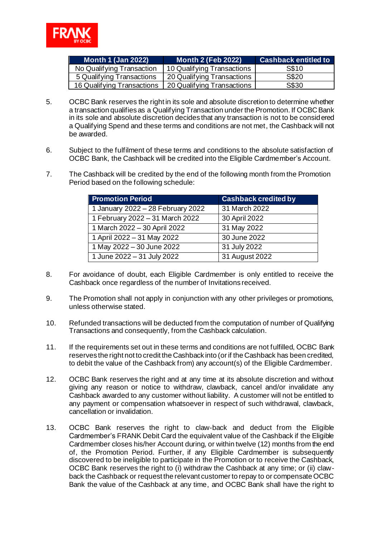

| <b>Month 1 (Jan 2022)</b>  | <b>Month 2 (Feb 2022)</b>  | <b>Cashback entitled to</b> |
|----------------------------|----------------------------|-----------------------------|
| No Qualifying Transaction  | 10 Qualifying Transactions | S\$10                       |
| 5 Qualifying Transactions  | 20 Qualifying Transactions | S\$20                       |
| 16 Qualifying Transactions | 20 Qualifying Transactions | S\$30                       |

- 5. OCBC Bank reserves the right in its sole and absolute discretion to determine whether a transaction qualifies as a Qualifying Transaction under the Promotion. If OCBC Bank in its sole and absolute discretion decides that any transaction is not to be considered a Qualifying Spend and these terms and conditions are not met, the Cashback will not be awarded.
- 6. Subject to the fulfilment of these terms and conditions to the absolute satisfaction of OCBC Bank, the Cashback will be credited into the Eligible Cardmember's Account.
- 7. The Cashback will be credited by the end of the following month from the Promotion Period based on the following schedule:

| <b>Promotion Period</b>           | <b>Cashback credited by</b> |  |
|-----------------------------------|-----------------------------|--|
| 1 January 2022 - 28 February 2022 | 31 March 2022               |  |
| 1 February 2022 - 31 March 2022   | 30 April 2022               |  |
| 1 March 2022 - 30 April 2022      | 31 May 2022                 |  |
| 1 April 2022 - 31 May 2022        | 30 June 2022                |  |
| 1 May 2022 - 30 June 2022         | 31 July 2022                |  |
| 1 June 2022 - 31 July 2022        | 31 August 2022              |  |

- 8. For avoidance of doubt, each Eligible Cardmember is only entitled to receive the Cashback once regardless of the number of Invitations received.
- 9. The Promotion shall not apply in conjunction with any other privileges or promotions, unless otherwise stated.
- 10. Refunded transactions will be deducted from the computation of number of Qualifying Transactions and consequently, from the Cashback calculation.
- 11. If the requirements set out in these terms and conditions are not fulfilled, OCBC Bank reserves the right not to credit the Cashback into (or if the Cashback has been credited, to debit the value of the Cashback from) any account(s) of the Eligible Cardmember.
- 12. OCBC Bank reserves the right and at any time at its absolute discretion and without giving any reason or notice to withdraw, clawback, cancel and/or invalidate any Cashback awarded to any customer without liability. A customer will not be entitled to any payment or compensation whatsoever in respect of such withdrawal, clawback, cancellation or invalidation.
- 13. OCBC Bank reserves the right to claw-back and deduct from the Eligible Cardmember's FRANK Debit Card the equivalent value of the Cashback if the Eligible Cardmember closes his/her Account during, or within twelve (12) months from the end of, the Promotion Period. Further, if any Eligible Cardmember is subsequently discovered to be ineligible to participate in the Promotion or to receive the Cashback, OCBC Bank reserves the right to (i) withdraw the Cashback at any time; or (ii) clawback the Cashback or request the relevant customer to repay to or compensate OCBC Bank the value of the Cashback at any time, and OCBC Bank shall have the right to